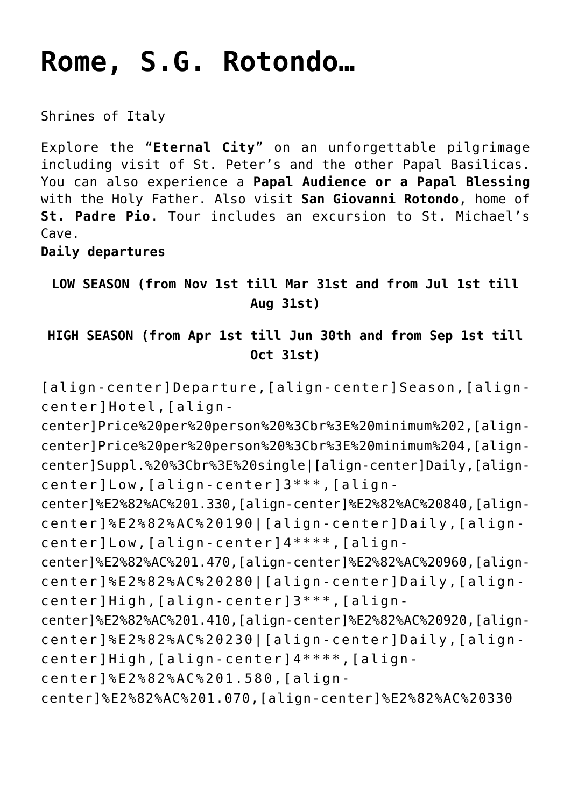# **[Rome, S.G. Rotondo…](https://rusconiviaggi.com/tour-item/private-pilgrimage-to-rome-and-san-giovanni-rotondo-6-days/)**

Shrines of Italy

Explore the "**Eternal City**" on an unforgettable pilgrimage including visit of St. Peter's and the other Papal Basilicas. You can also experience a **Papal Audience or a Papal Blessing** with the Holy Father. Also visit **San Giovanni Rotondo**, home of **St. Padre Pio**. Tour includes an excursion to St. Michael's Cave.

**Daily departures**

**LOW SEASON (from Nov 1st till Mar 31st and from Jul 1st till Aug 31st)**

**HIGH SEASON (from Apr 1st till Jun 30th and from Sep 1st till Oct 31st)**

[align-center]Departure,[align-center]Season,[aligncenter]Hotel,[align-

center]Price%20per%20person%20%3Cbr%3E%20minimum%202,[aligncenter]Price%20per%20person%20%3Cbr%3E%20minimum%204,[aligncenter]Suppl.%20%3Cbr%3E%20single|[align-center]Daily,[aligncenter]Low,[align-center]3\*\*\*,[align-

center]%E2%82%AC%201.330,[align-center]%E2%82%AC%20840,[aligncenter]%E2%82%AC%20190|[align-center]Daily,[aligncenter]Low,[align-center]4\*\*\*\*,[align-

center]%E2%82%AC%201.470,[align-center]%E2%82%AC%20960,[aligncenter]%E2%82%AC%20280|[align-center]Daily,[aligncenter]High,[align-center]3\*\*\*,[align-

center]%E2%82%AC%201.410,[align-center]%E2%82%AC%20920,[aligncenter]%E2%82%AC%20230|[align-center]Daily,[aligncenter]High,[align-center]4\*\*\*\*,[align-

center]%E2%82%AC%201.580,[align-

center]%E2%82%AC%201.070,[align-center]%E2%82%AC%20330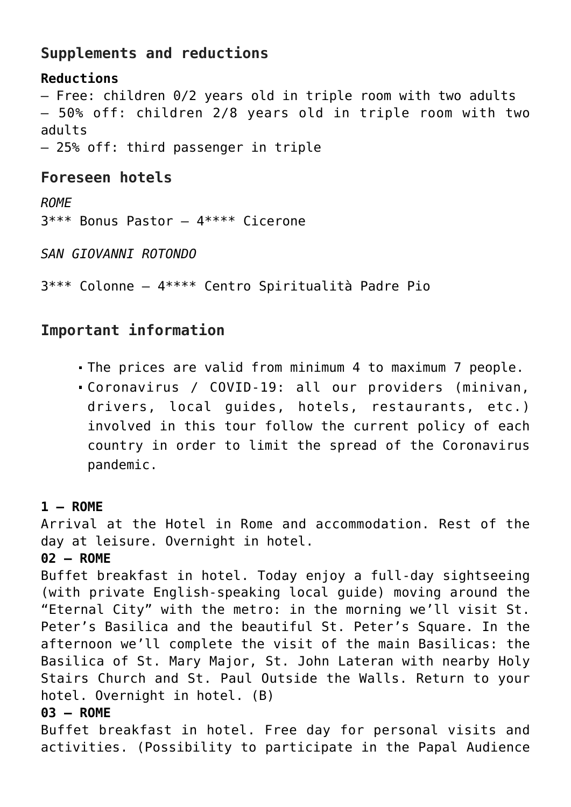## **Supplements and reductions**

## **Reductions** – Free: children 0/2 years old in triple room with two adults – 50% off: children 2/8 years old in triple room with two adults – 25% off: third passenger in triple

# **Foreseen hotels**

*ROME* 3\*\*\* Bonus Pastor – 4\*\*\*\* Cicerone

*SAN GIOVANNI ROTONDO*

3\*\*\* Colonne – 4\*\*\*\* Centro Spiritualità Padre Pio

## **Important information**

- The prices are valid from minimum 4 to maximum 7 people.
- Coronavirus / COVID-19: all our providers (minivan, drivers, local guides, hotels, restaurants, etc.) involved in this tour follow the current policy of each country in order to limit the spread of the Coronavirus pandemic.

### **1 – ROME**

Arrival at the Hotel in Rome and accommodation. Rest of the day at leisure. Overnight in hotel.

### **02 – ROME**

Buffet breakfast in hotel. Today enjoy a full-day sightseeing (with private English-speaking local guide) moving around the "Eternal City" with the metro: in the morning we'll visit St. Peter's Basilica and the beautiful St. Peter's Square. In the afternoon we'll complete the visit of the main Basilicas: the Basilica of St. Mary Major, St. John Lateran with nearby Holy Stairs Church and St. Paul Outside the Walls. Return to your hotel. Overnight in hotel. (B)

#### **03 – ROME**

Buffet breakfast in hotel. Free day for personal visits and activities. (Possibility to participate in the Papal Audience